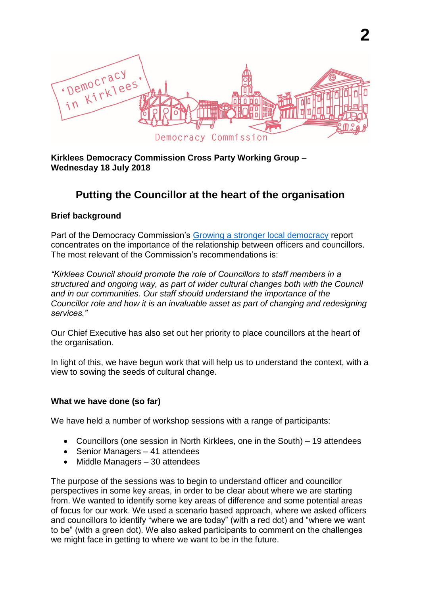

#### **Kirklees Democracy Commission Cross Party Working Group – Wednesday 18 July 2018**

# **Putting the Councillor at the heart of the organisation**

#### **Brief background**

Part of the Democracy Commission's [Growing a stronger local democracy](http://www.democracycommission.org.uk/growing-a-stronger-local-democracy-from-the-ground-up/) report concentrates on the importance of the relationship between officers and councillors. The most relevant of the Commission's recommendations is:

*"Kirklees Council should promote the role of Councillors to staff members in a structured and ongoing way, as part of wider cultural changes both with the Council and in our communities. Our staff should understand the importance of the Councillor role and how it is an invaluable asset as part of changing and redesigning services."*

Our Chief Executive has also set out her priority to place councillors at the heart of the organisation.

In light of this, we have begun work that will help us to understand the context, with a view to sowing the seeds of cultural change.

#### **What we have done (so far)**

We have held a number of workshop sessions with a range of participants:

- Councillors (one session in North Kirklees, one in the South) 19 attendees
- Senior Managers 41 attendees
- Middle Managers 30 attendees

The purpose of the sessions was to begin to understand officer and councillor perspectives in some key areas, in order to be clear about where we are starting from. We wanted to identify some key areas of difference and some potential areas of focus for our work. We used a scenario based approach, where we asked officers and councillors to identify "where we are today" (with a red dot) and "where we want to be" (with a green dot). We also asked participants to comment on the challenges we might face in getting to where we want to be in the future.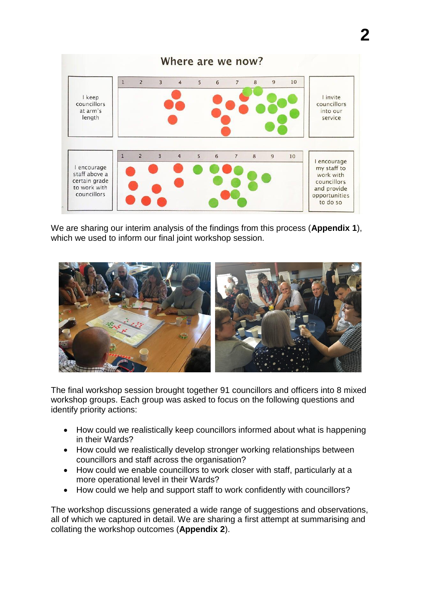

We are sharing our interim analysis of the findings from this process (**Appendix 1**), which we used to inform our final joint workshop session.



The final workshop session brought together 91 councillors and officers into 8 mixed workshop groups. Each group was asked to focus on the following questions and identify priority actions:

- How could we realistically keep councillors informed about what is happening in their Wards?
- How could we realistically develop stronger working relationships between councillors and staff across the organisation?
- How could we enable councillors to work closer with staff, particularly at a more operational level in their Wards?
- How could we help and support staff to work confidently with councillors?

The workshop discussions generated a wide range of suggestions and observations, all of which we captured in detail. We are sharing a first attempt at summarising and collating the workshop outcomes (**Appendix 2**).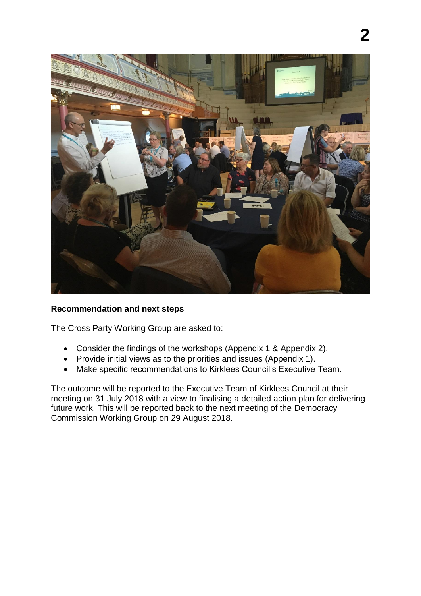

#### **Recommendation and next steps**

The Cross Party Working Group are asked to:

- Consider the findings of the workshops (Appendix 1 & Appendix 2).
- Provide initial views as to the priorities and issues (Appendix 1).
- Make specific recommendations to Kirklees Council's Executive Team.

The outcome will be reported to the Executive Team of Kirklees Council at their meeting on 31 July 2018 with a view to finalising a detailed action plan for delivering future work. This will be reported back to the next meeting of the Democracy Commission Working Group on 29 August 2018.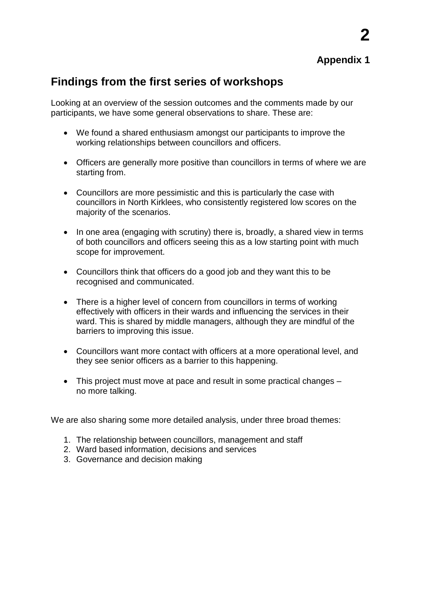**2**

# **Findings from the first series of workshops**

Looking at an overview of the session outcomes and the comments made by our participants, we have some general observations to share. These are:

- We found a shared enthusiasm amongst our participants to improve the working relationships between councillors and officers.
- Officers are generally more positive than councillors in terms of where we are starting from.
- Councillors are more pessimistic and this is particularly the case with councillors in North Kirklees, who consistently registered low scores on the majority of the scenarios.
- In one area (engaging with scrutiny) there is, broadly, a shared view in terms of both councillors and officers seeing this as a low starting point with much scope for improvement.
- Councillors think that officers do a good job and they want this to be recognised and communicated.
- There is a higher level of concern from councillors in terms of working effectively with officers in their wards and influencing the services in their ward. This is shared by middle managers, although they are mindful of the barriers to improving this issue.
- Councillors want more contact with officers at a more operational level, and they see senior officers as a barrier to this happening.
- This project must move at pace and result in some practical changes no more talking.

We are also sharing some more detailed analysis, under three broad themes:

- 1. The relationship between councillors, management and staff
- 2. Ward based information, decisions and services
- 3. Governance and decision making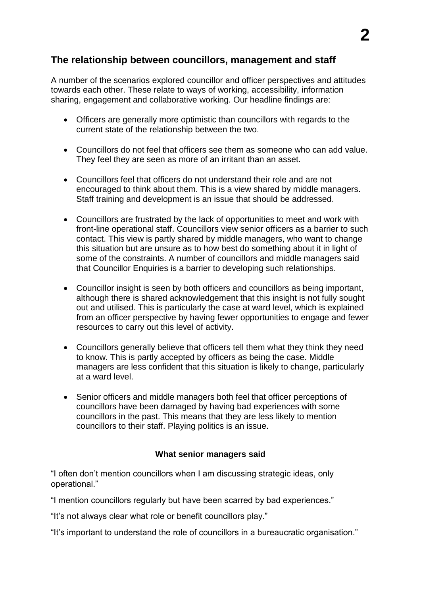# **The relationship between councillors, management and staff**

A number of the scenarios explored councillor and officer perspectives and attitudes towards each other. These relate to ways of working, accessibility, information sharing, engagement and collaborative working. Our headline findings are:

- Officers are generally more optimistic than councillors with regards to the current state of the relationship between the two.
- Councillors do not feel that officers see them as someone who can add value. They feel they are seen as more of an irritant than an asset.
- Councillors feel that officers do not understand their role and are not encouraged to think about them. This is a view shared by middle managers. Staff training and development is an issue that should be addressed.
- Councillors are frustrated by the lack of opportunities to meet and work with front-line operational staff. Councillors view senior officers as a barrier to such contact. This view is partly shared by middle managers, who want to change this situation but are unsure as to how best do something about it in light of some of the constraints. A number of councillors and middle managers said that Councillor Enquiries is a barrier to developing such relationships.
- Councillor insight is seen by both officers and councillors as being important, although there is shared acknowledgement that this insight is not fully sought out and utilised. This is particularly the case at ward level, which is explained from an officer perspective by having fewer opportunities to engage and fewer resources to carry out this level of activity.
- Councillors generally believe that officers tell them what they think they need to know. This is partly accepted by officers as being the case. Middle managers are less confident that this situation is likely to change, particularly at a ward level.
- Senior officers and middle managers both feel that officer perceptions of councillors have been damaged by having bad experiences with some councillors in the past. This means that they are less likely to mention councillors to their staff. Playing politics is an issue.

#### **What senior managers said**

"I often don't mention councillors when I am discussing strategic ideas, only operational."

"I mention councillors regularly but have been scarred by bad experiences."

"It's not always clear what role or benefit councillors play."

"It's important to understand the role of councillors in a bureaucratic organisation."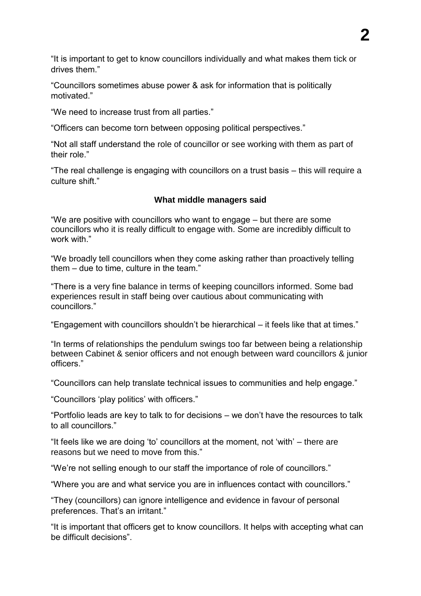"It is important to get to know councillors individually and what makes them tick or drives them."

"Councillors sometimes abuse power & ask for information that is politically motivated."

"We need to increase trust from all parties."

"Officers can become torn between opposing political perspectives."

"Not all staff understand the role of councillor or see working with them as part of their role."

"The real challenge is engaging with councillors on a trust basis – this will require a culture shift."

#### **What middle managers said**

"We are positive with councillors who want to engage – but there are some councillors who it is really difficult to engage with. Some are incredibly difficult to work with."

"We broadly tell councillors when they come asking rather than proactively telling them – due to time, culture in the team."

"There is a very fine balance in terms of keeping councillors informed. Some bad experiences result in staff being over cautious about communicating with councillors."

"Engagement with councillors shouldn't be hierarchical – it feels like that at times."

"In terms of relationships the pendulum swings too far between being a relationship between Cabinet & senior officers and not enough between ward councillors & junior officers."

"Councillors can help translate technical issues to communities and help engage."

"Councillors 'play politics' with officers."

"Portfolio leads are key to talk to for decisions – we don't have the resources to talk to all councillors."

"It feels like we are doing 'to' councillors at the moment, not 'with' – there are reasons but we need to move from this."

"We're not selling enough to our staff the importance of role of councillors."

"Where you are and what service you are in influences contact with councillors."

"They (councillors) can ignore intelligence and evidence in favour of personal preferences. That's an irritant."

"It is important that officers get to know councillors. It helps with accepting what can be difficult decisions".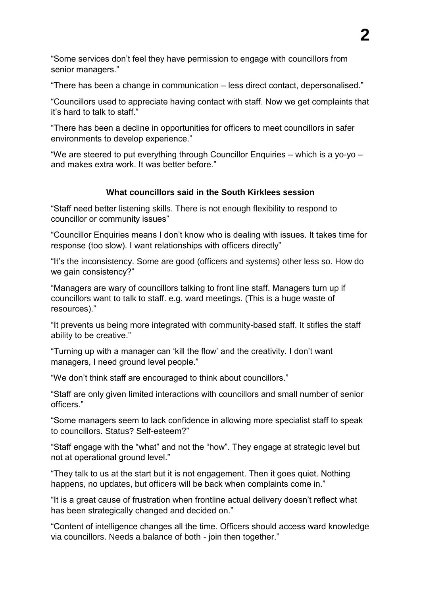"Some services don't feel they have permission to engage with councillors from senior managers."

"There has been a change in communication – less direct contact, depersonalised."

"Councillors used to appreciate having contact with staff. Now we get complaints that it's hard to talk to staff."

"There has been a decline in opportunities for officers to meet councillors in safer environments to develop experience."

"We are steered to put everything through Councillor Enquiries – which is a yo-yo – and makes extra work. It was better before."

#### **What councillors said in the South Kirklees session**

"Staff need better listening skills. There is not enough flexibility to respond to councillor or community issues"

"Councillor Enquiries means I don't know who is dealing with issues. It takes time for response (too slow). I want relationships with officers directly"

"It's the inconsistency. Some are good (officers and systems) other less so. How do we gain consistency?"

"Managers are wary of councillors talking to front line staff. Managers turn up if councillors want to talk to staff. e.g. ward meetings. (This is a huge waste of resources)."

"It prevents us being more integrated with community-based staff. It stifles the staff ability to be creative."

"Turning up with a manager can 'kill the flow' and the creativity. I don't want managers, I need ground level people."

"We don't think staff are encouraged to think about councillors."

"Staff are only given limited interactions with councillors and small number of senior officers."

"Some managers seem to lack confidence in allowing more specialist staff to speak to councillors. Status? Self-esteem?"

"Staff engage with the "what" and not the "how". They engage at strategic level but not at operational ground level."

"They talk to us at the start but it is not engagement. Then it goes quiet. Nothing happens, no updates, but officers will be back when complaints come in."

"It is a great cause of frustration when frontline actual delivery doesn't reflect what has been strategically changed and decided on."

"Content of intelligence changes all the time. Officers should access ward knowledge via councillors. Needs a balance of both - join then together."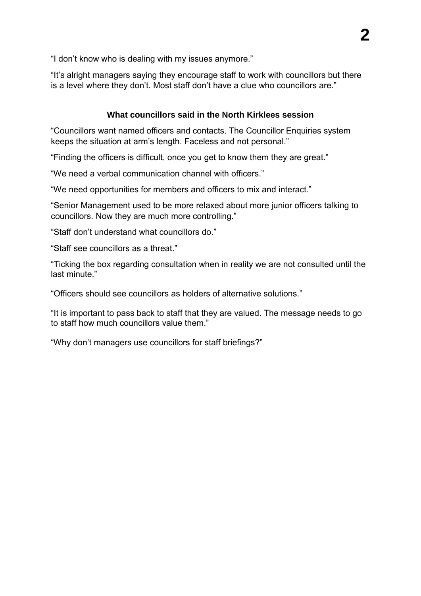"I don't know who is dealing with my issues anymore."

"It's alright managers saying they encourage staff to work with councillors but there is a level where they don't. Most staff don't have a clue who councillors are."

## **What councillors said in the North Kirklees session**

"Councillors want named officers and contacts. The Councillor Enquiries system keeps the situation at arm's length. Faceless and not personal."

"Finding the officers is difficult, once you get to know them they are great."

"We need a verbal communication channel with officers."

"We need opportunities for members and officers to mix and interact."

"Senior Management used to be more relaxed about more junior officers talking to councillors. Now they are much more controlling."

"Staff don't understand what councillors do."

"Staff see councillors as a threat."

"Ticking the box regarding consultation when in reality we are not consulted until the last minute."

"Officers should see councillors as holders of alternative solutions."

"It is important to pass back to staff that they are valued. The message needs to go to staff how much councillors value them."

"Why don't managers use councillors for staff briefings?"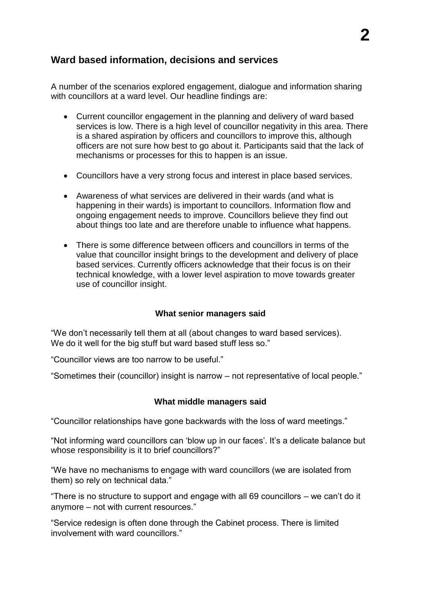# **Ward based information, decisions and services**

A number of the scenarios explored engagement, dialogue and information sharing with councillors at a ward level. Our headline findings are:

- Current councillor engagement in the planning and delivery of ward based services is low. There is a high level of councillor negativity in this area. There is a shared aspiration by officers and councillors to improve this, although officers are not sure how best to go about it. Participants said that the lack of mechanisms or processes for this to happen is an issue.
- Councillors have a very strong focus and interest in place based services.
- Awareness of what services are delivered in their wards (and what is happening in their wards) is important to councillors. Information flow and ongoing engagement needs to improve. Councillors believe they find out about things too late and are therefore unable to influence what happens.
- There is some difference between officers and councillors in terms of the value that councillor insight brings to the development and delivery of place based services. Currently officers acknowledge that their focus is on their technical knowledge, with a lower level aspiration to move towards greater use of councillor insight.

#### **What senior managers said**

"We don't necessarily tell them at all (about changes to ward based services). We do it well for the big stuff but ward based stuff less so."

"Councillor views are too narrow to be useful."

"Sometimes their (councillor) insight is narrow – not representative of local people."

#### **What middle managers said**

"Councillor relationships have gone backwards with the loss of ward meetings."

"Not informing ward councillors can 'blow up in our faces'. It's a delicate balance but whose responsibility is it to brief councillors?"

"We have no mechanisms to engage with ward councillors (we are isolated from them) so rely on technical data."

"There is no structure to support and engage with all 69 councillors – we can't do it anymore – not with current resources."

"Service redesign is often done through the Cabinet process. There is limited involvement with ward councillors."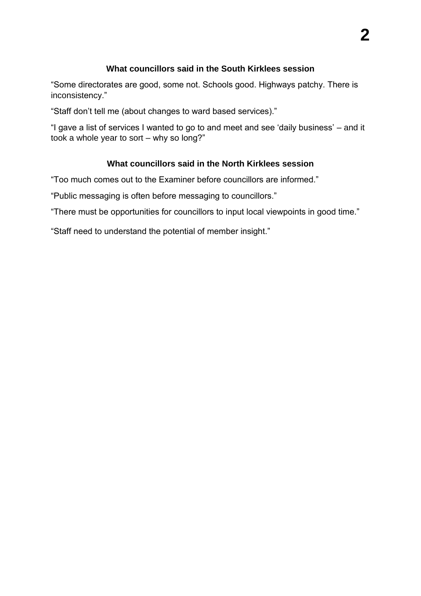#### **What councillors said in the South Kirklees session**

"Some directorates are good, some not. Schools good. Highways patchy. There is inconsistency."

"Staff don't tell me (about changes to ward based services)."

"I gave a list of services I wanted to go to and meet and see 'daily business' – and it took a whole year to sort – why so long?"

#### **What councillors said in the North Kirklees session**

"Too much comes out to the Examiner before councillors are informed."

"Public messaging is often before messaging to councillors."

"There must be opportunities for councillors to input local viewpoints in good time."

"Staff need to understand the potential of member insight."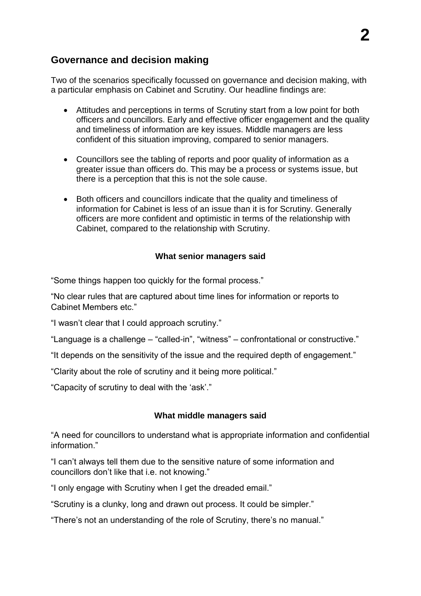# **Governance and decision making**

Two of the scenarios specifically focussed on governance and decision making, with a particular emphasis on Cabinet and Scrutiny. Our headline findings are:

- Attitudes and perceptions in terms of Scrutiny start from a low point for both officers and councillors. Early and effective officer engagement and the quality and timeliness of information are key issues. Middle managers are less confident of this situation improving, compared to senior managers.
- Councillors see the tabling of reports and poor quality of information as a greater issue than officers do. This may be a process or systems issue, but there is a perception that this is not the sole cause.
- Both officers and councillors indicate that the quality and timeliness of information for Cabinet is less of an issue than it is for Scrutiny. Generally officers are more confident and optimistic in terms of the relationship with Cabinet, compared to the relationship with Scrutiny.

#### **What senior managers said**

"Some things happen too quickly for the formal process."

"No clear rules that are captured about time lines for information or reports to Cabinet Members etc."

"I wasn't clear that I could approach scrutiny."

"Language is a challenge – "called-in", "witness" – confrontational or constructive."

"It depends on the sensitivity of the issue and the required depth of engagement."

"Clarity about the role of scrutiny and it being more political."

"Capacity of scrutiny to deal with the 'ask'."

#### **What middle managers said**

"A need for councillors to understand what is appropriate information and confidential information."

"I can't always tell them due to the sensitive nature of some information and councillors don't like that i.e. not knowing."

"I only engage with Scrutiny when I get the dreaded email."

"Scrutiny is a clunky, long and drawn out process. It could be simpler."

"There's not an understanding of the role of Scrutiny, there's no manual."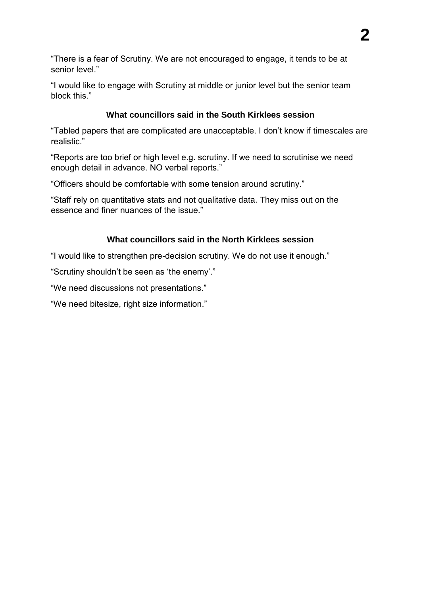"There is a fear of Scrutiny. We are not encouraged to engage, it tends to be at senior level."

"I would like to engage with Scrutiny at middle or junior level but the senior team block this."

### **What councillors said in the South Kirklees session**

"Tabled papers that are complicated are unacceptable. I don't know if timescales are realistic."

"Reports are too brief or high level e.g. scrutiny. If we need to scrutinise we need enough detail in advance. NO verbal reports."

"Officers should be comfortable with some tension around scrutiny."

"Staff rely on quantitative stats and not qualitative data. They miss out on the essence and finer nuances of the issue."

## **What councillors said in the North Kirklees session**

"I would like to strengthen pre-decision scrutiny. We do not use it enough."

"Scrutiny shouldn't be seen as 'the enemy'."

"We need discussions not presentations."

"We need bitesize, right size information."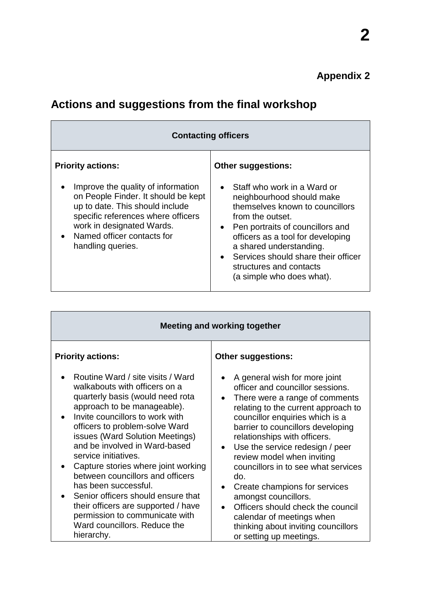| <b>Contacting officers</b>                                                                                                                                                                                                           |                                                                                                                                                                                                                                                                                                                                   |  |
|--------------------------------------------------------------------------------------------------------------------------------------------------------------------------------------------------------------------------------------|-----------------------------------------------------------------------------------------------------------------------------------------------------------------------------------------------------------------------------------------------------------------------------------------------------------------------------------|--|
| <b>Priority actions:</b>                                                                                                                                                                                                             | <b>Other suggestions:</b>                                                                                                                                                                                                                                                                                                         |  |
| Improve the quality of information<br>on People Finder. It should be kept<br>up to date. This should include<br>specific references where officers<br>work in designated Wards.<br>• Named officer contacts for<br>handling queries. | • Staff who work in a Ward or<br>neighbourhood should make<br>themselves known to councillors<br>from the outset.<br>Pen portraits of councillors and<br>$\bullet$<br>officers as a tool for developing<br>a shared understanding.<br>Services should share their officer<br>structures and contacts<br>(a simple who does what). |  |

# **Actions and suggestions from the final workshop**

| Meeting and working together                                                                                                                                                                                                                                                                               |                                                                                                                                                                                                                                                                                                                                              |  |
|------------------------------------------------------------------------------------------------------------------------------------------------------------------------------------------------------------------------------------------------------------------------------------------------------------|----------------------------------------------------------------------------------------------------------------------------------------------------------------------------------------------------------------------------------------------------------------------------------------------------------------------------------------------|--|
| <b>Priority actions:</b><br>Routine Ward / site visits / Ward<br>walkabouts with officers on a<br>quarterly basis (would need rota<br>approach to be manageable).<br>Invite councillors to work with<br>officers to problem-solve Ward<br>issues (Ward Solution Meetings)<br>and be involved in Ward-based | <b>Other suggestions:</b><br>A general wish for more joint<br>officer and councillor sessions.<br>There were a range of comments<br>$\bullet$<br>relating to the current approach to<br>councillor enquiries which is a<br>barrier to councillors developing<br>relationships with officers.<br>Use the service redesign / peer<br>$\bullet$ |  |
| service initiatives.<br>Capture stories where joint working<br>between councillors and officers<br>has been successful.<br>Senior officers should ensure that<br>their officers are supported / have<br>permission to communicate with<br>Ward councillors. Reduce the<br>hierarchy.                       | review model when inviting<br>councillors in to see what services<br>do.<br>Create champions for services<br>$\bullet$<br>amongst councillors.<br>Officers should check the council<br>$\bullet$<br>calendar of meetings when<br>thinking about inviting councillors<br>or setting up meetings.                                              |  |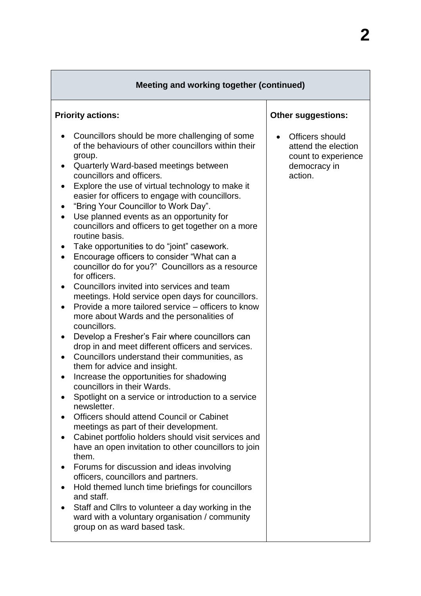| Meeting and working together (continued)                                                                                                                                                                                                                                                                                                                                                                                                                                                                                                                                                                                                                                                                                                                                                                                                                                                                                                                                                                                                                                                                                                                                                                                                                                                                                                                                                                                                                                                                                                                                                                                                                                                                                                    |                                                                                          |  |
|---------------------------------------------------------------------------------------------------------------------------------------------------------------------------------------------------------------------------------------------------------------------------------------------------------------------------------------------------------------------------------------------------------------------------------------------------------------------------------------------------------------------------------------------------------------------------------------------------------------------------------------------------------------------------------------------------------------------------------------------------------------------------------------------------------------------------------------------------------------------------------------------------------------------------------------------------------------------------------------------------------------------------------------------------------------------------------------------------------------------------------------------------------------------------------------------------------------------------------------------------------------------------------------------------------------------------------------------------------------------------------------------------------------------------------------------------------------------------------------------------------------------------------------------------------------------------------------------------------------------------------------------------------------------------------------------------------------------------------------------|------------------------------------------------------------------------------------------|--|
| <b>Priority actions:</b>                                                                                                                                                                                                                                                                                                                                                                                                                                                                                                                                                                                                                                                                                                                                                                                                                                                                                                                                                                                                                                                                                                                                                                                                                                                                                                                                                                                                                                                                                                                                                                                                                                                                                                                    | <b>Other suggestions:</b>                                                                |  |
| Councillors should be more challenging of some<br>of the behaviours of other councillors within their<br>group.<br>Quarterly Ward-based meetings between<br>councillors and officers.<br>Explore the use of virtual technology to make it<br>easier for officers to engage with councillors.<br>"Bring Your Councillor to Work Day".<br>Use planned events as an opportunity for<br>$\bullet$<br>councillors and officers to get together on a more<br>routine basis.<br>Take opportunities to do "joint" casework.<br>Encourage officers to consider "What can a<br>councillor do for you?" Councillors as a resource<br>for officers.<br>Councillors invited into services and team<br>meetings. Hold service open days for councillors.<br>Provide a more tailored service – officers to know<br>more about Wards and the personalities of<br>councillors.<br>Develop a Fresher's Fair where councillors can<br>drop in and meet different officers and services.<br>Councillors understand their communities, as<br>$\bullet$<br>them for advice and insight.<br>Increase the opportunities for shadowing<br>councillors in their Wards.<br>Spotlight on a service or introduction to a service<br>newsletter.<br>Officers should attend Council or Cabinet<br>meetings as part of their development.<br>Cabinet portfolio holders should visit services and<br>$\bullet$<br>have an open invitation to other councillors to join<br>them.<br>Forums for discussion and ideas involving<br>officers, councillors and partners.<br>Hold themed lunch time briefings for councillors<br>and staff.<br>Staff and Clirs to volunteer a day working in the<br>ward with a voluntary organisation / community<br>group on as ward based task. | Officers should<br>attend the election<br>count to experience<br>democracy in<br>action. |  |

٦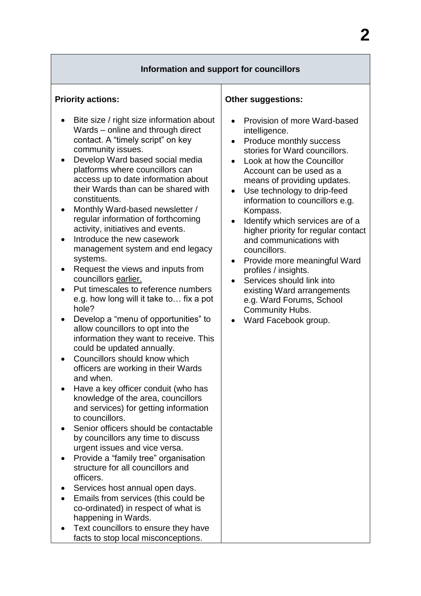#### **Information and support for councillors**

#### **Priority actions:**

- Bite size / right size information about Wards – online and through direct contact. A "timely script" on key community issues.
- Develop Ward based social media platforms where councillors can access up to date information about their Wards than can be shared with constituents.
- Monthly Ward-based newsletter / regular information of forthcoming activity, initiatives and events.
- Introduce the new casework management system and end legacy systems.
- Request the views and inputs from councillors earlier.
- Put timescales to reference numbers e.g. how long will it take to… fix a pot hole?
- Develop a "menu of opportunities" to allow councillors to opt into the information they want to receive. This could be updated annually.
- Councillors should know which officers are working in their Wards and when.
- Have a key officer conduit (who has knowledge of the area, councillors and services) for getting information to councillors.
- Senior officers should be contactable by councillors any time to discuss urgent issues and vice versa.
- Provide a "family tree" organisation structure for all councillors and officers.
- Services host annual open days.
- Emails from services (this could be co-ordinated) in respect of what is happening in Wards.
- Text councillors to ensure they have facts to stop local misconceptions.

#### **Other suggestions:**

- Provision of more Ward-based intelligence.
- Produce monthly success stories for Ward councillors.
- Look at how the Councillor Account can be used as a means of providing updates.
- Use technology to drip-feed information to councillors e.g. Kompass.
- Identify which services are of a higher priority for regular contact and communications with councillors.
- Provide more meaningful Ward profiles / insights.
- Services should link into existing Ward arrangements e.g. Ward Forums, School Community Hubs.
- Ward Facebook group.